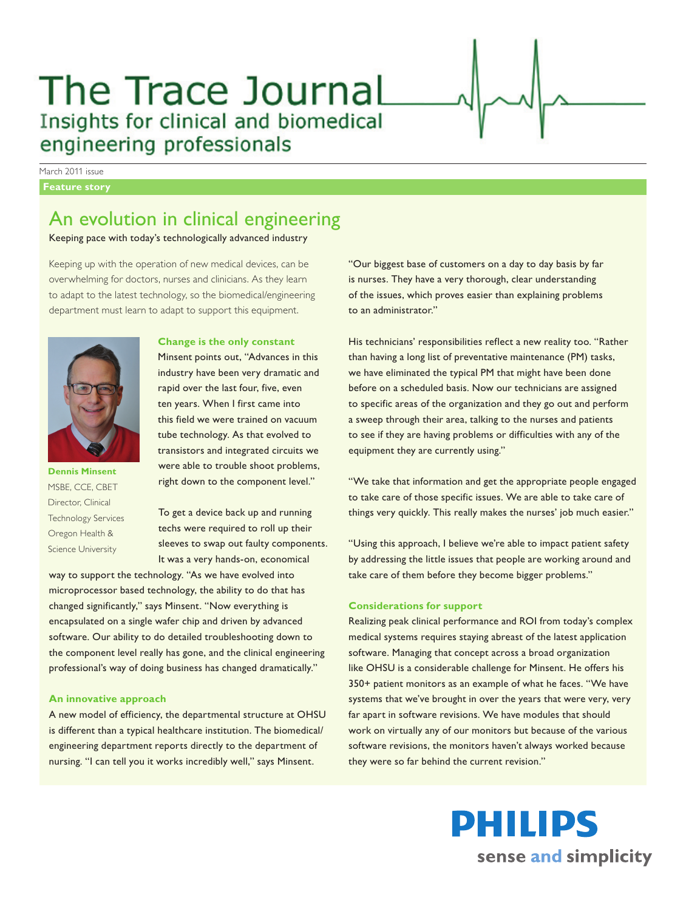# The Trace Journal Insights for clinical and biomedical engineering professionals

March 2011 issue

#### **Feature story**

# An evolution in clinical engineering

Keeping pace with today's technologically advanced industry

Keeping up with the operation of new medical devices, can be overwhelming for doctors, nurses and clinicians. As they learn to adapt to the latest technology, so the biomedical/engineering department must learn to adapt to support this equipment.



**Dennis Minsent** MSBE, CCE, CBET Director, Clinical Technology Services Oregon Health & Science University

## **Change is the only constant**

Minsent points out, "Advances in this industry have been very dramatic and rapid over the last four, five, even ten years. When I first came into this field we were trained on vacuum tube technology. As that evolved to transistors and integrated circuits we were able to trouble shoot problems, right down to the component level."

To get a device back up and running techs were required to roll up their sleeves to swap out faulty components. It was a very hands-on, economical

way to support the technology. "As we have evolved into microprocessor based technology, the ability to do that has changed significantly," says Minsent. "Now everything is encapsulated on a single wafer chip and driven by advanced software. Our ability to do detailed troubleshooting down to the component level really has gone, and the clinical engineering professional's way of doing business has changed dramatically."

# **An innovative approach**

A new model of efficiency, the departmental structure at OHSU is different than a typical healthcare institution. The biomedical/ engineering department reports directly to the department of nursing. "I can tell you it works incredibly well," says Minsent.

"Our biggest base of customers on a day to day basis by far is nurses. They have a very thorough, clear understanding of the issues, which proves easier than explaining problems to an administrator."

His technicians' responsibilities reflect a new reality too. "Rather than having a long list of preventative maintenance (PM) tasks, we have eliminated the typical PM that might have been done before on a scheduled basis. Now our technicians are assigned to specific areas of the organization and they go out and perform a sweep through their area, talking to the nurses and patients to see if they are having problems or difficulties with any of the equipment they are currently using."

"We take that information and get the appropriate people engaged to take care of those specific issues. We are able to take care of things very quickly. This really makes the nurses' job much easier."

"Using this approach, I believe we're able to impact patient safety by addressing the little issues that people are working around and take care of them before they become bigger problems."

#### **Considerations for support**

Realizing peak clinical performance and ROI from today's complex medical systems requires staying abreast of the latest application software. Managing that concept across a broad organization like OHSU is a considerable challenge for Minsent. He offers his 350+ patient monitors as an example of what he faces. "We have systems that we've brought in over the years that were very, very far apart in software revisions. We have modules that should work on virtually any of our monitors but because of the various software revisions, the monitors haven't always worked because they were so far behind the current revision."